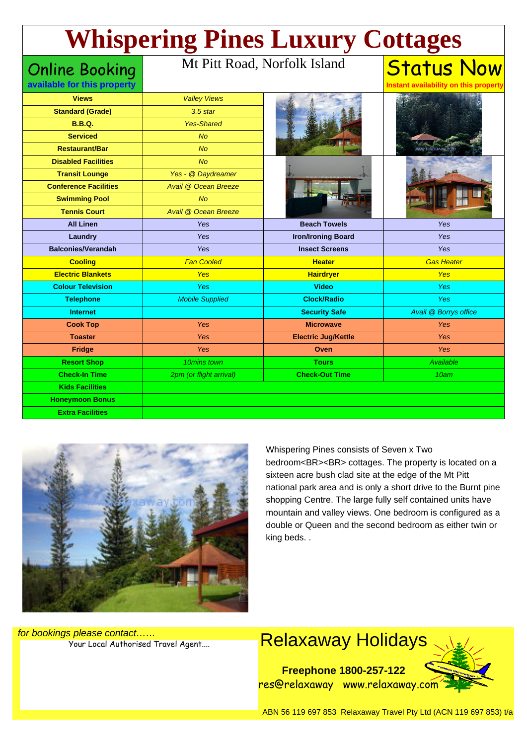# Status Now **Whispering Pines Luxury Cottages**

#### Online Booking **available for this property**

Mt Pitt Road, Norfolk Island

| <b>Views</b>                 | <b>Valley Views</b>     |                            |                       |
|------------------------------|-------------------------|----------------------------|-----------------------|
| <b>Standard (Grade)</b>      | $3.5$ star              |                            |                       |
| <b>B.B.Q.</b>                | <b>Yes-Shared</b>       |                            |                       |
| <b>Serviced</b>              | <b>No</b>               |                            |                       |
| <b>Restaurant/Bar</b>        | N <sub>O</sub>          |                            |                       |
| <b>Disabled Facilities</b>   | N <sub>O</sub>          |                            |                       |
| <b>Transit Lounge</b>        | Yes - @ Daydreamer      |                            |                       |
| <b>Conference Facilities</b> | Avail @ Ocean Breeze    |                            |                       |
| <b>Swimming Pool</b>         | <b>No</b>               |                            |                       |
| <b>Tennis Court</b>          | Avail @ Ocean Breeze    |                            |                       |
| <b>All Linen</b>             | Yes                     | <b>Beach Towels</b>        | Yes                   |
| Laundry                      | Yes                     | <b>Iron/Ironing Board</b>  | Yes                   |
| <b>Balconies/Verandah</b>    | Yes                     | <b>Insect Screens</b>      | Yes                   |
| <b>Cooling</b>               | <b>Fan Cooled</b>       | <b>Heater</b>              | <b>Gas Heater</b>     |
| <b>Electric Blankets</b>     | <b>Yes</b>              | <b>Hairdryer</b>           | <b>Yes</b>            |
| <b>Colour Television</b>     | Yes                     | <b>Video</b>               | <b>Yes</b>            |
| <b>Telephone</b>             | <b>Mobile Supplied</b>  | <b>Clock/Radio</b>         | <b>Yes</b>            |
| <b>Internet</b>              |                         | <b>Security Safe</b>       | Avail @ Borrys office |
| <b>Cook Top</b>              | Yes                     | <b>Microwave</b>           | <b>Yes</b>            |
| <b>Toaster</b>               | Yes                     | <b>Electric Jug/Kettle</b> | <b>Yes</b>            |
| Fridge                       | Yes                     | Oven                       | Yes                   |
| <b>Resort Shop</b>           | 10mins town             | <b>Tours</b>               | <b>Available</b>      |
| <b>Check-In Time</b>         | 2pm (or flight arrival) | <b>Check-Out Time</b>      | 10am                  |
| <b>Kids Facilities</b>       |                         |                            |                       |
| <b>Honeymoon Bonus</b>       |                         |                            |                       |
| <b>Extra Facilities</b>      |                         |                            |                       |



Whispering Pines consists of Seven x Two bedroom<BR><BR> cottages. The property is located on a sixteen acre bush clad site at the edge of the Mt Pitt national park area and is only a short drive to the Burnt pine shopping Centre. The large fully self contained units have mountain and valley views. One bedroom is configured as a double or Queen and the second bedroom as either twin or king beds. .

**Instant availability on this property**

for bookings please contact……